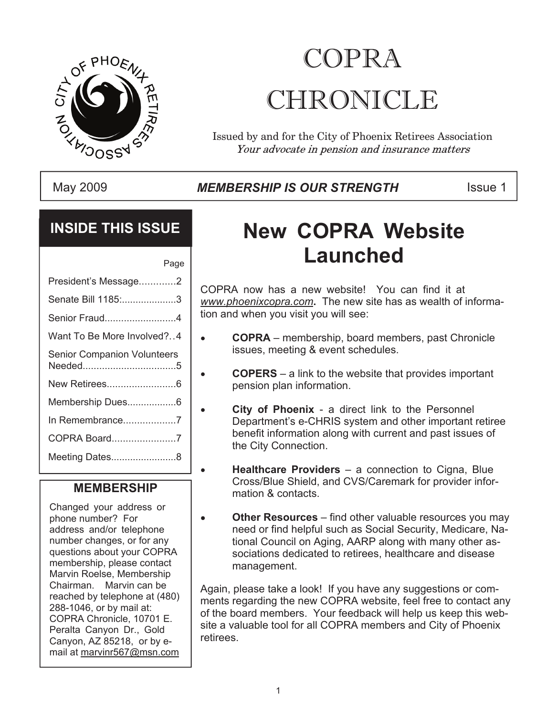

# COPRA CHRONICLE

Issued by and for the City of Phoenix Retirees Association Your advocate in pension and insurance matters

#### May 2009 **Inter Strum MEMBERSHIP IS OUR STRENGTH** This Issue 1

### **INSIDE THIS ISSUE**

| Page                               |
|------------------------------------|
| President's Message2               |
| Senate Bill 1185:3                 |
| Senior Fraud4                      |
| Want To Be More Involved?4         |
| <b>Senior Companion Volunteers</b> |
| New Retirees6                      |
| Membership Dues6                   |
| In Remembrance7                    |
| COPRA Board7                       |
| Meeting Dates8                     |
|                                    |

 $\bullet$ 

#### **MEMBERSHIP**

Changed your address or phone number? For address and/or telephone number changes, or for any questions about your COPRA membership, please contact Marvin Roelse, Membership Chairman. Marvin can be reached by telephone at (480) 288-1046, or by mail at: COPRA Chronicle, 10701 E. Peralta Canyon Dr., Gold Canyon, AZ 85218, or by email at marvinr567@msn.com

# **New COPRA Website Launched**

COPRA now has a new website! You can find it at *www.phoenixcopra.com***.** The new site has as wealth of information and when you visit you will see:

- **COPRA** membership, board members, past Chronicle issues, meeting & event schedules.
- **COPERS** a link to the website that provides important  $\bullet$ pension plan information.
	- **City of Phoenix** a direct link to the Personnel Department's e-CHRIS system and other important retiree benefit information along with current and past issues of the City Connection.
	- **Healthcare Providers** a connection to Cigna, Blue Cross/Blue Shield, and CVS/Caremark for provider information & contacts.
- **Other Resources** find other valuable resources you may need or find helpful such as Social Security, Medicare, National Council on Aging, AARP along with many other associations dedicated to retirees, healthcare and disease management.

Again, please take a look! If you have any suggestions or comments regarding the new COPRA website, feel free to contact any of the board members. Your feedback will help us keep this website a valuable tool for all COPRA members and City of Phoenix retirees.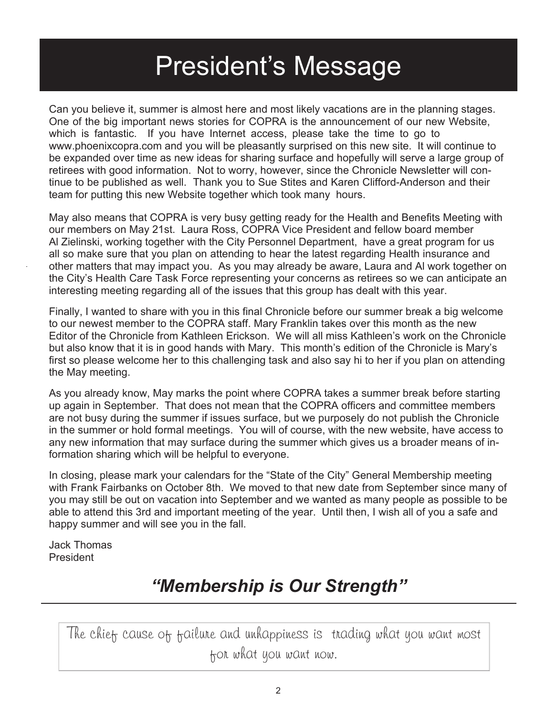# President's Message

Can you believe it, summer is almost here and most likely vacations are in the planning stages. One of the big important news stories for COPRA is the announcement of our new Website, which is fantastic. If you have Internet access, please take the time to go to www.phoenixcopra.com and you will be pleasantly surprised on this new site. It will continue to be expanded over time as new ideas for sharing surface and hopefully will serve a large group of retirees with good information. Not to worry, however, since the Chronicle Newsletter will continue to be published as well. Thank you to Sue Stites and Karen Clifford-Anderson and their team for putting this new Website together which took many hours.

May also means that COPRA is very busy getting ready for the Health and Benefits Meeting with our members on May 21st. Laura Ross, COPRA Vice President and fellow board member Al Zielinski, working together with the City Personnel Department, have a great program for us all so make sure that you plan on attending to hear the latest regarding Health insurance and other matters that may impact you. As you may already be aware, Laura and Al work together on the City's Health Care Task Force representing your concerns as retirees so we can anticipate an interesting meeting regarding all of the issues that this group has dealt with this year.

Finally, I wanted to share with you in this final Chronicle before our summer break a big welcome to our newest member to the COPRA staff. Mary Franklin takes over this month as the new Editor of the Chronicle from Kathleen Erickson. We will all miss Kathleen's work on the Chronicle but also know that it is in good hands with Mary. This month's edition of the Chronicle is Mary's first so please welcome her to this challenging task and also say hi to her if you plan on attending the May meeting.

As you already know, May marks the point where COPRA takes a summer break before starting up again in September. That does not mean that the COPRA officers and committee members are not busy during the summer if issues surface, but we purposely do not publish the Chronicle in the summer or hold formal meetings. You will of course, with the new website, have access to any new information that may surface during the summer which gives us a broader means of information sharing which will be helpful to everyone.

In closing, please mark your calendars for the "State of the City" General Membership meeting with Frank Fairbanks on October 8th. We moved to that new date from September since many of you may still be out on vacation into September and we wanted as many people as possible to be able to attend this 3rd and important meeting of the year. Until then, I wish all of you a safe and happy summer and will see you in the fall.

Jack Thomas President

## *"Membership is Our Strength"*

The chief cause of failure and unhappiness is trading what you want most for what you want now.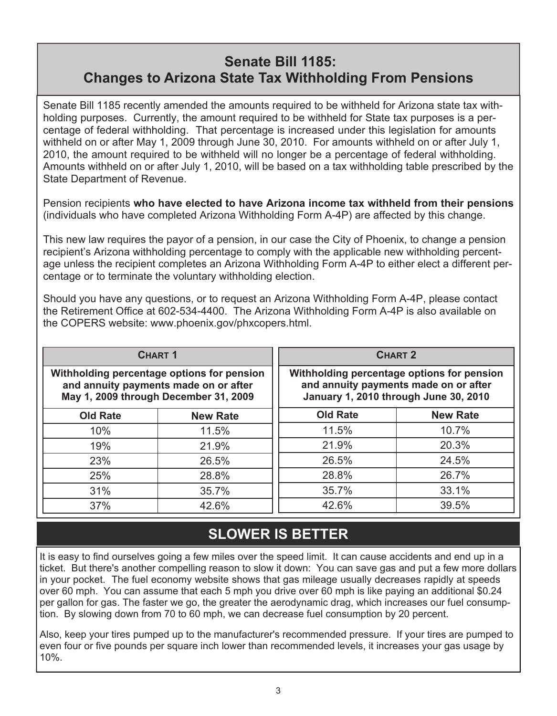#### **Senate Bill 1185: Changes to Arizona State Tax Withholding From Pensions**

Senate Bill 1185 recently amended the amounts required to be withheld for Arizona state tax withholding purposes. Currently, the amount required to be withheld for State tax purposes is a percentage of federal withholding. That percentage is increased under this legislation for amounts withheld on or after May 1, 2009 through June 30, 2010. For amounts withheld on or after July 1, 2010, the amount required to be withheld will no longer be a percentage of federal withholding. Amounts withheld on or after July 1, 2010, will be based on a tax withholding table prescribed by the State Department of Revenue.

Pension recipients **who have elected to have Arizona income tax withheld from their pensions** (individuals who have completed Arizona Withholding Form A-4P) are affected by this change.

This new law requires the payor of a pension, in our case the City of Phoenix, to change a pension recipient's Arizona withholding percentage to comply with the applicable new withholding percentage unless the recipient completes an Arizona Withholding Form A-4P to either elect a different percentage or to terminate the voluntary withholding election.

Should you have any questions, or to request an Arizona Withholding Form A-4P, please contact the Retirement Office at 602-534-4400. The Arizona Withholding Form A-4P is also available on the COPERS website: www.phoenix.gov/phxcopers.html.

| <b>CHART 1</b>                                                                                                               |                 |                 | <b>CHART 2</b>                                                                                                               |
|------------------------------------------------------------------------------------------------------------------------------|-----------------|-----------------|------------------------------------------------------------------------------------------------------------------------------|
| Withholding percentage options for pension<br>and annuity payments made on or after<br>May 1, 2009 through December 31, 2009 |                 |                 | Withholding percentage options for pension<br>and annuity payments made on or after<br>January 1, 2010 through June 30, 2010 |
| <b>Old Rate</b>                                                                                                              | <b>New Rate</b> | <b>Old Rate</b> | <b>New Rate</b>                                                                                                              |
| 10%                                                                                                                          | 11.5%           | 11.5%           | 10.7%                                                                                                                        |
| 19%                                                                                                                          | 21.9%           | 21.9%           | 20.3%                                                                                                                        |
| 23%                                                                                                                          | 26.5%           | 26.5%           | 24.5%                                                                                                                        |
| 25%                                                                                                                          | 28.8%           | 28.8%           | 26.7%                                                                                                                        |
| 31%                                                                                                                          | 35.7%           | 35.7%           | 33.1%                                                                                                                        |
| 37%                                                                                                                          | 42.6%           | 42.6%           | 39.5%                                                                                                                        |

## **SLOWER IS BETTER**

It is easy to find ourselves going a few miles over the speed limit. It can cause accidents and end up in a ticket. But there's another compelling reason to slow it down: You can save gas and put a few more dollars in your pocket. The fuel economy website shows that gas mileage usually decreases rapidly at speeds over 60 mph. You can assume that each 5 mph you drive over 60 mph is like paying an additional \$0.24 per gallon for gas. The faster we go, the greater the aerodynamic drag, which increases our fuel consumption. By slowing down from 70 to 60 mph, we can decrease fuel consumption by 20 percent.

Also, keep your tires pumped up to the manufacturer's recommended pressure. If your tires are pumped to even four or five pounds per square inch lower than recommended levels, it increases your gas usage by 10%.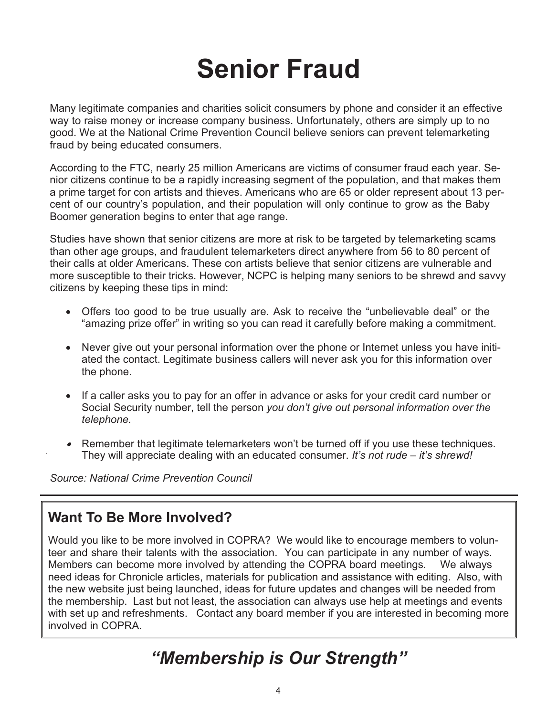# **Senior Fraud**

Many legitimate companies and charities solicit consumers by phone and consider it an effective way to raise money or increase company business. Unfortunately, others are simply up to no good. We at the National Crime Prevention Council believe seniors can prevent telemarketing fraud by being educated consumers.

According to the FTC, nearly 25 million Americans are victims of consumer fraud each year. Senior citizens continue to be a rapidly increasing segment of the population, and that makes them a prime target for con artists and thieves. Americans who are 65 or older represent about 13 percent of our country's population, and their population will only continue to grow as the Baby Boomer generation begins to enter that age range.

Studies have shown that senior citizens are more at risk to be targeted by telemarketing scams than other age groups, and fraudulent telemarketers direct anywhere from 56 to 80 percent of their calls at older Americans. These con artists believe that senior citizens are vulnerable and more susceptible to their tricks. However, NCPC is helping many seniors to be shrewd and savvy citizens by keeping these tips in mind:

- · Offers too good to be true usually are. Ask to receive the "unbelievable deal" or the "amazing prize offer" in writing so you can read it carefully before making a commitment.
- · Never give out your personal information over the phone or Internet unless you have initiated the contact. Legitimate business callers will never ask you for this information over the phone.
- · If a caller asks you to pay for an offer in advance or asks for your credit card number or Social Security number, tell the person *you don't give out personal information over the telephone.*
- Remember that legitimate telemarketers won't be turned off if you use these techniques. They will appreciate dealing with an educated consumer. *It's not rude – it's shrewd!*

*Source: National Crime Prevention Council*

### **Want To Be More Involved?**

Would you like to be more involved in COPRA? We would like to encourage members to volunteer and share their talents with the association. You can participate in any number of ways. Members can become more involved by attending the COPRA board meetings. We always need ideas for Chronicle articles, materials for publication and assistance with editing. Also, with the new website just being launched, ideas for future updates and changes will be needed from the membership. Last but not least, the association can always use help at meetings and events with set up and refreshments. Contact any board member if you are interested in becoming more involved in COPRA

## *"Membership is Our Strength"*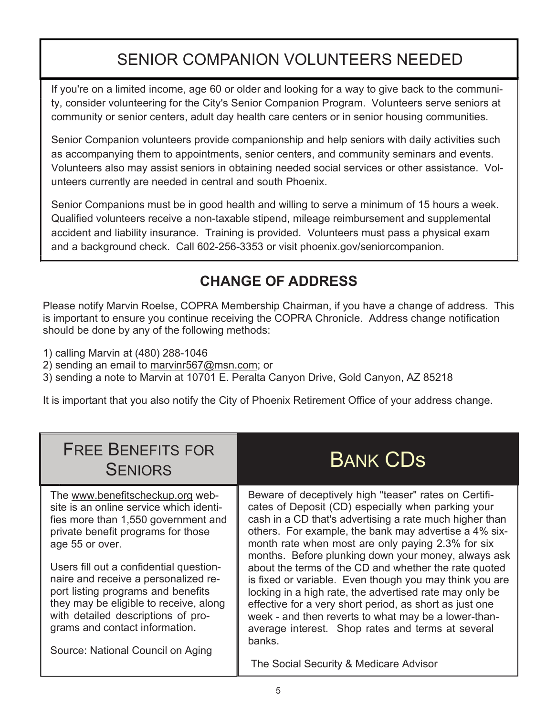## SENIOR COMPANION VOLUNTEERS NEEDED

If you're on a limited income, age 60 or older and looking for a way to give back to the community, consider volunteering for the City's Senior Companion Program. Volunteers serve seniors at community or senior centers, adult day health care centers or in senior housing communities.

Senior Companion volunteers provide companionship and help seniors with daily activities such as accompanying them to appointments, senior centers, and community seminars and events. Volunteers also may assist seniors in obtaining needed social services or other assistance. Volunteers currently are needed in central and south Phoenix.

Senior Companions must be in good health and willing to serve a minimum of 15 hours a week. Qualified volunteers receive a non-taxable stipend, mileage reimbursement and supplemental accident and liability insurance. Training is provided. Volunteers must pass a physical exam and a background check. Call 602-256-3353 or visit phoenix.gov/seniorcompanion.

## **CHANGE OF ADDRESS**

Please notify Marvin Roelse, COPRA Membership Chairman, if you have a change of address. This is important to ensure you continue receiving the COPRA Chronicle. Address change notification should be done by any of the following methods:

1) calling Marvin at (480) 288-1046

2) sending an email to marvinr567@msn.com; or

3) sending a note to Marvin at 10701 E. Peralta Canyon Drive, Gold Canyon, AZ 85218

It is important that you also notify the City of Phoenix Retirement Office of your address change.

| <b>FREE BENEFITS FOR</b><br><b>SENIORS</b>                                                                                                                                                                                                                                                                                                                                                                                                                  | <b>BANK CDS</b>                                                                                                                                                                                                                                                                                                                                                                                                                                                                                                                                                                                                                                                                                                                                        |
|-------------------------------------------------------------------------------------------------------------------------------------------------------------------------------------------------------------------------------------------------------------------------------------------------------------------------------------------------------------------------------------------------------------------------------------------------------------|--------------------------------------------------------------------------------------------------------------------------------------------------------------------------------------------------------------------------------------------------------------------------------------------------------------------------------------------------------------------------------------------------------------------------------------------------------------------------------------------------------------------------------------------------------------------------------------------------------------------------------------------------------------------------------------------------------------------------------------------------------|
| The www.benefitscheckup.org web-<br>site is an online service which identi-<br>fies more than 1,550 government and<br>private benefit programs for those<br>age 55 or over.<br>Users fill out a confidential question-<br>naire and receive a personalized re-<br>port listing programs and benefits<br>they may be eligible to receive, along<br>with detailed descriptions of pro-<br>grams and contact information.<br>Source: National Council on Aging | Beware of deceptively high "teaser" rates on Certifi-<br>cates of Deposit (CD) especially when parking your<br>cash in a CD that's advertising a rate much higher than<br>others. For example, the bank may advertise a 4% six-<br>month rate when most are only paying 2.3% for six<br>months. Before plunking down your money, always ask<br>about the terms of the CD and whether the rate quoted<br>is fixed or variable. Even though you may think you are<br>locking in a high rate, the advertised rate may only be<br>effective for a very short period, as short as just one<br>week - and then reverts to what may be a lower-than-<br>average interest. Shop rates and terms at several<br>banks.<br>The Social Security & Medicare Advisor |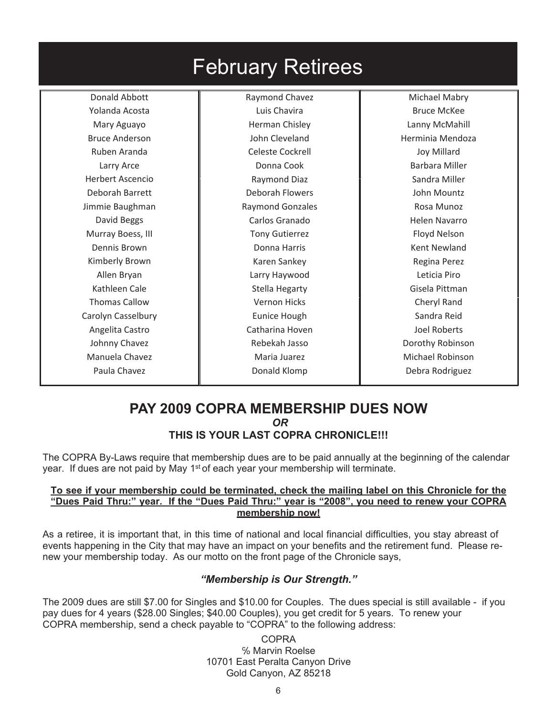| <b>February Retirees</b> |                         |                         |  |  |  |
|--------------------------|-------------------------|-------------------------|--|--|--|
| Donald Abbott            | Raymond Chavez          | Michael Mabry           |  |  |  |
| Yolanda Acosta           | Luis Chavira            | <b>Bruce McKee</b>      |  |  |  |
| Mary Aguayo              | Herman Chisley          | Lanny McMahill          |  |  |  |
| <b>Bruce Anderson</b>    | John Cleveland          | Herminia Mendoza        |  |  |  |
| Ruben Aranda             | <b>Celeste Cockrell</b> | <b>Joy Millard</b>      |  |  |  |
| Larry Arce               | Donna Cook              | <b>Barbara Miller</b>   |  |  |  |
| <b>Herbert Ascencio</b>  | Raymond Diaz            | Sandra Miller           |  |  |  |
| Deborah Barrett          | <b>Deborah Flowers</b>  | John Mountz             |  |  |  |
| Jimmie Baughman          | <b>Raymond Gonzales</b> | Rosa Munoz              |  |  |  |
| David Beggs              | Carlos Granado          | Helen Navarro           |  |  |  |
| Murray Boess, III        | <b>Tony Gutierrez</b>   | Floyd Nelson            |  |  |  |
| Dennis Brown             | Donna Harris            | <b>Kent Newland</b>     |  |  |  |
| Kimberly Brown           | Karen Sankey            | Regina Perez            |  |  |  |
| Allen Bryan              | Larry Haywood           | Leticia Piro            |  |  |  |
| Kathleen Cale            | Stella Hegarty          | Gisela Pittman          |  |  |  |
| <b>Thomas Callow</b>     | <b>Vernon Hicks</b>     | Cheryl Rand             |  |  |  |
| Carolyn Casselbury       | <b>Eunice Hough</b>     | Sandra Reid             |  |  |  |
| Angelita Castro          | Catharina Hoven         | Joel Roberts            |  |  |  |
| Johnny Chavez            | Rebekah Jasso           | Dorothy Robinson        |  |  |  |
| Manuela Chavez           | Maria Juarez            | <b>Michael Robinson</b> |  |  |  |
| Paula Chavez             | Donald Klomp            | Debra Rodriguez         |  |  |  |
|                          |                         |                         |  |  |  |

#### **PAY 2009 COPRA MEMBERSHIP DUES NOW** *OR* **THIS IS YOUR LAST COPRA CHRONICLE!!!**

The COPRA By-Laws require that membership dues are to be paid annually at the beginning of the calendar year. If dues are not paid by May 1<sup>st</sup> of each year your membership will terminate.

#### **To see if your membership could be terminated, check the mailing label on this Chronicle for the "Dues Paid Thru:" year. If the "Dues Paid Thru:" year is "2008", you need to renew your COPRA membership now!**

As a retiree, it is important that, in this time of national and local financial difficulties, you stay abreast of events happening in the City that may have an impact on your benefits and the retirement fund. Please renew your membership today. As our motto on the front page of the Chronicle says,

#### *"Membership is Our Strength."*

The 2009 dues are still \$7.00 for Singles and \$10.00 for Couples. The dues special is still available - if you pay dues for 4 years (\$28.00 Singles; \$40.00 Couples), you get credit for 5 years. To renew your COPRA membership, send a check payable to "COPRA" to the following address:

> COPRA % Marvin Roelse 10701 East Peralta Canyon Drive Gold Canyon, AZ 85218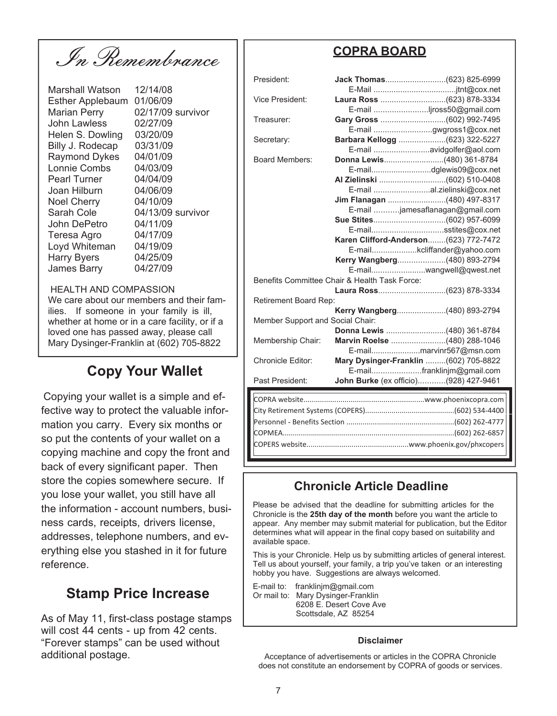In Remembrance

Marshall Watson 12/14/08 Esther Applebaum 01/06/09 Marian Perry 02/17/09 survivor John Lawless 02/27/09 Helen S. Dowling 03/20/09 Billy J. Rodecap 03/31/09 Raymond Dykes 04/01/09 Lonnie Combs 04/03/09 Pearl Turner 04/04/09 Joan Hilburn 04/06/09 Noel Cherry 04/10/09 Sarah Cole 04/13/09 survivor John DePetro 04/11/09 Teresa Agro 04/17/09 Loyd Whiteman 04/19/09 Harry Byers 04/25/09 James Barry 04/27/09

#### HEALTH AND COMPASSION

We care about our members and their families. If someone in your family is ill, whether at home or in a care facility, or if a loved one has passed away, please call Mary Dysinger-Franklin at (602) 705-8822

### **Copy Your Wallet**

Copying your wallet is a simple and effective way to protect the valuable information you carry. Every six months or so put the contents of your wallet on a copying machine and copy the front and back of every significant paper. Then store the copies somewhere secure. If you lose your wallet, you still have all the information - account numbers, business cards, receipts, drivers license, addresses, telephone numbers, and everything else you stashed in it for future reference.

### **Stamp Price Increase**

As of May 11, first-class postage stamps will cost 44 cents - up from 42 cents. "Forever stamps" can be used without additional postage.

#### **COPRA BOARD**

| President:                                                                |                                        |  |  |  |  |
|---------------------------------------------------------------------------|----------------------------------------|--|--|--|--|
| <b>Vice President:</b>                                                    |                                        |  |  |  |  |
|                                                                           | E-mail jross50@gmail.com               |  |  |  |  |
| Treasurer:                                                                |                                        |  |  |  |  |
|                                                                           | E-mail gwgross1@cox.net                |  |  |  |  |
| Secretary:                                                                | Barbara Kellogg (623) 322-5227         |  |  |  |  |
|                                                                           | E-mail avidgolfer@aol.com              |  |  |  |  |
| <b>Board Members:</b>                                                     | Donna Lewis(480) 361-8784              |  |  |  |  |
|                                                                           |                                        |  |  |  |  |
|                                                                           |                                        |  |  |  |  |
|                                                                           | E-mail al.zielinski@cox.net            |  |  |  |  |
|                                                                           | Jim Flanagan (480) 497-8317            |  |  |  |  |
|                                                                           | E-mail jamesaflanagan@gmail.com        |  |  |  |  |
|                                                                           |                                        |  |  |  |  |
|                                                                           | E-mailsstites@cox.net                  |  |  |  |  |
|                                                                           | Karen Clifford-Anderson (623) 772-7472 |  |  |  |  |
|                                                                           | E-mailkcliffander@yahoo.com            |  |  |  |  |
|                                                                           | Kerry Wangberg(480) 893-2794           |  |  |  |  |
| E-mailwangwell@qwest.net<br>Benefits Committee Chair & Health Task Force: |                                        |  |  |  |  |
|                                                                           |                                        |  |  |  |  |
|                                                                           |                                        |  |  |  |  |
| Retirement Board Rep:                                                     |                                        |  |  |  |  |
|                                                                           | Kerry Wangberg(480) 893-2794           |  |  |  |  |
| Member Support and Social Chair:                                          |                                        |  |  |  |  |
|                                                                           |                                        |  |  |  |  |
| Membership Chair:                                                         | Marvin Roelse (480) 288-1046           |  |  |  |  |
| <b>Chronicle Editor:</b>                                                  | E-mailmarvinr567@msn.com               |  |  |  |  |
|                                                                           | Mary Dysinger-Franklin (602) 705-8822  |  |  |  |  |
|                                                                           | E-mailfranklinjm@gmail.com             |  |  |  |  |
| Past President:                                                           | John Burke (ex officio)(928) 427-9461  |  |  |  |  |
|                                                                           |                                        |  |  |  |  |
|                                                                           |                                        |  |  |  |  |
|                                                                           |                                        |  |  |  |  |
|                                                                           |                                        |  |  |  |  |
|                                                                           |                                        |  |  |  |  |
|                                                                           |                                        |  |  |  |  |

#### **Chronicle Article Deadline**

Please be advised that the deadline for submitting articles for the Chronicle is the **25th day of the month** before you want the article to appear. Any member may submit material for publication, but the Editor determines what will appear in the final copy based on suitability and available space.

This is your Chronicle. Help us by submitting articles of general interest. Tell us about yourself, your family, a trip you've taken or an interesting hobby you have. Suggestions are always welcomed.

E-mail to: franklinjm@gmail.com Or mail to: Mary Dysinger-Franklin 6208 E. Desert Cove Ave Scottsdale, AZ 85254

#### **Disclaimer**

Acceptance of advertisements or articles in the COPRA Chronicle does not constitute an endorsement by COPRA of goods or services.